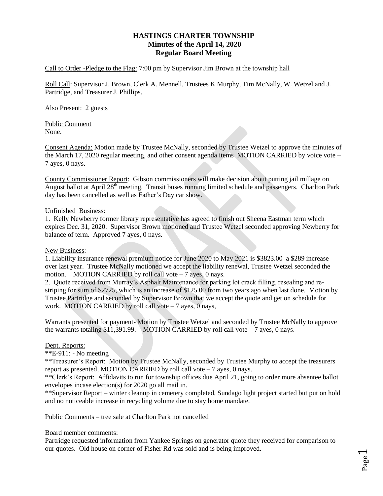# **HASTINGS CHARTER TOWNSHIP Minutes of the April 14, 2020 Regular Board Meeting**

Call to Order -Pledge to the Flag: 7:00 pm by Supervisor Jim Brown at the township hall

Roll Call: Supervisor J. Brown, Clerk A. Mennell, Trustees K Murphy, Tim McNally, W. Wetzel and J. Partridge, and Treasurer J. Phillips.

Also Present: 2 guests

Public Comment None.

Consent Agenda: Motion made by Trustee McNally, seconded by Trustee Wetzel to approve the minutes of the March 17, 2020 regular meeting, and other consent agenda items MOTION CARRIED by voice vote – 7 ayes, 0 nays.

County Commissioner Report: Gibson commissioners will make decision about putting jail millage on August ballot at April 28<sup>th</sup> meeting. Transit buses running limited schedule and passengers. Charlton Park day has been cancelled as well as Father's Day car show.

### Unfinished Business:

1. Kelly Newberry former library representative has agreed to finish out Sheena Eastman term which expires Dec. 31, 2020. Supervisor Brown motioned and Trustee Wetzel seconded approving Newberry for balance of term. Approved 7 ayes, 0 nays.

#### New Business:

1. Liability insurance renewal premium notice for June 2020 to May 2021 is \$3823.00 a \$289 increase over last year. Trustee McNally motioned we accept the liability renewal, Trustee Wetzel seconded the motion. MOTION CARRIED by roll call vote  $-7$  ayes, 0 nays.

2. Quote received from Murray's Asphalt Maintenance for parking lot crack filling, resealing and restriping for sum of \$2725, which is an increase of \$125.00 from two years ago when last done. Motion by Trustee Partridge and seconded by Supervisor Brown that we accept the quote and get on schedule for work. MOTION CARRIED by roll call vote  $-7$  ayes, 0 nays,

Warrants presented for payment- Motion by Trustee Wetzel and seconded by Trustee McNally to approve the warrants totaling \$11,391.99. MOTION CARRIED by roll call vote  $-7$  ayes, 0 nays.

## Dept. Reports:

**\*\***E-911: - No meeting

\*\*Treasurer's Report: Motion by Trustee McNally, seconded by Trustee Murphy to accept the treasurers report as presented, MOTION CARRIED by roll call vote  $-7$  ayes, 0 nays.

\*\*Clerk's Report: Affidavits to run for township offices due April 21, going to order more absentee ballot envelopes incase election(s) for 2020 go all mail in.

\*\*Supervisor Report – winter cleanup in cemetery completed, Sundago light project started but put on hold and no noticeable increase in recycling volume due to stay home mandate.

Public Comments – tree sale at Charlton Park not cancelled

#### Board member comments:

Partridge requested information from Yankee Springs on generator quote they received for comparison to our quotes. Old house on corner of Fisher Rd was sold and is being improved.